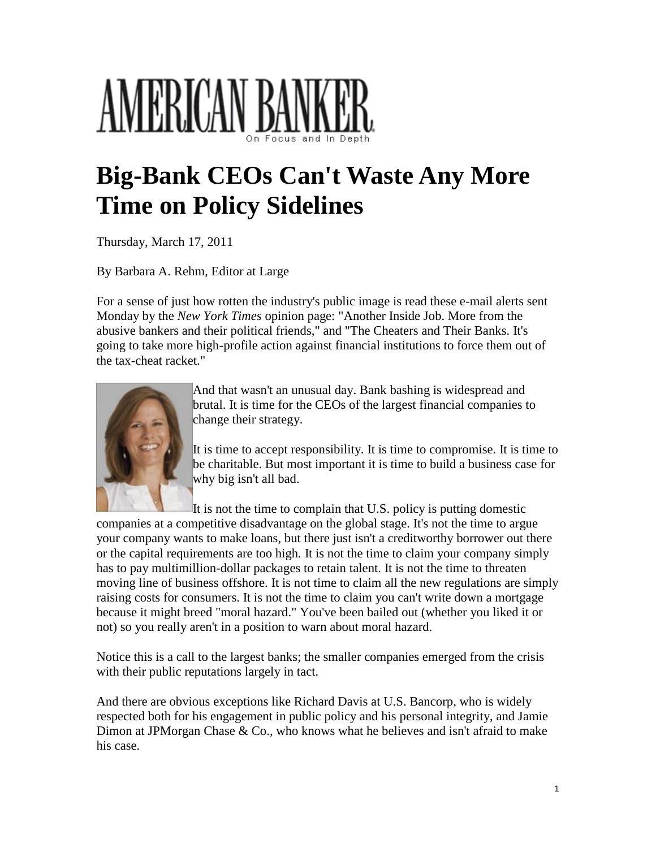## AMERICAN B

## **Big-Bank CEOs Can't Waste Any More Time on Policy Sidelines**

Thursday, March 17, 2011

By Barbara A. Rehm, Editor at Large

For a sense of just how rotten the industry's public image is read these e-mail alerts sent Monday by the *New York Times* opinion page: "Another Inside Job. More from the abusive bankers and their political friends," and "The Cheaters and Their Banks. It's going to take more high-profile action against financial institutions to force them out of the tax-cheat racket."



And that wasn't an unusual day. Bank bashing is widespread and brutal. It is time for the CEOs of the largest financial companies to change their strategy.

It is time to accept responsibility. It is time to compromise. It is time to be charitable. But most important it is time to build a business case for why big isn't all bad.

It is not the time to complain that U.S. policy is putting domestic companies at a competitive disadvantage on the global stage. It's not the time to argue your company wants to make loans, but there just isn't a creditworthy borrower out there or the capital requirements are too high. It is not the time to claim your company simply has to pay multimillion-dollar packages to retain talent. It is not the time to threaten moving line of business offshore. It is not time to claim all the new regulations are simply raising costs for consumers. It is not the time to claim you can't write down a mortgage because it might breed "moral hazard." You've been bailed out (whether you liked it or

Notice this is a call to the largest banks; the smaller companies emerged from the crisis with their public reputations largely in tact.

not) so you really aren't in a position to warn about moral hazard.

And there are obvious exceptions like Richard Davis at U.S. Bancorp, who is widely respected both for his engagement in public policy and his personal integrity, and Jamie Dimon at JPMorgan Chase & Co., who knows what he believes and isn't afraid to make his case.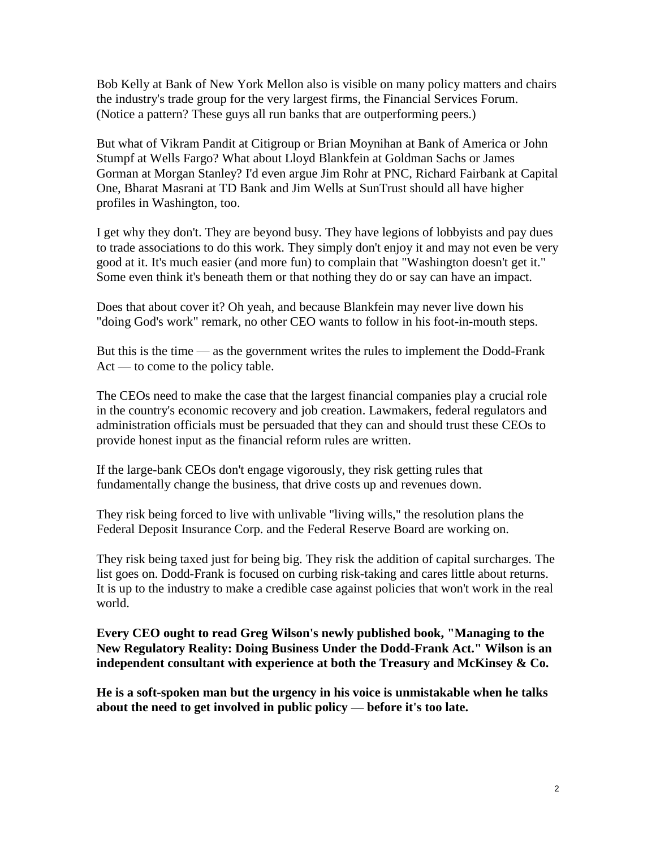Bob Kelly at Bank of New York Mellon also is visible on many policy matters and chairs the industry's trade group for the very largest firms, the Financial Services Forum. (Notice a pattern? These guys all run banks that are outperforming peers.)

But what of Vikram Pandit at Citigroup or Brian Moynihan at Bank of America or John Stumpf at Wells Fargo? What about Lloyd Blankfein at Goldman Sachs or James Gorman at Morgan Stanley? I'd even argue Jim Rohr at PNC, Richard Fairbank at Capital One, Bharat Masrani at TD Bank and Jim Wells at SunTrust should all have higher profiles in Washington, too.

I get why they don't. They are beyond busy. They have legions of lobbyists and pay dues to trade associations to do this work. They simply don't enjoy it and may not even be very good at it. It's much easier (and more fun) to complain that "Washington doesn't get it." Some even think it's beneath them or that nothing they do or say can have an impact.

Does that about cover it? Oh yeah, and because Blankfein may never live down his "doing God's work" remark, no other CEO wants to follow in his foot-in-mouth steps.

But this is the time — as the government writes the rules to implement the Dodd-Frank Act — to come to the policy table.

The CEOs need to make the case that the largest financial companies play a crucial role in the country's economic recovery and job creation. Lawmakers, federal regulators and administration officials must be persuaded that they can and should trust these CEOs to provide honest input as the financial reform rules are written.

If the large-bank CEOs don't engage vigorously, they risk getting rules that fundamentally change the business, that drive costs up and revenues down.

They risk being forced to live with unlivable "living wills," the resolution plans the Federal Deposit Insurance Corp. and the Federal Reserve Board are working on.

They risk being taxed just for being big. They risk the addition of capital surcharges. The list goes on. Dodd-Frank is focused on curbing risk-taking and cares little about returns. It is up to the industry to make a credible case against policies that won't work in the real world.

**Every CEO ought to read Greg Wilson's newly published book, "Managing to the New Regulatory Reality: Doing Business Under the Dodd-Frank Act." Wilson is an independent consultant with experience at both the Treasury and McKinsey & Co.**

**He is a soft-spoken man but the urgency in his voice is unmistakable when he talks about the need to get involved in public policy — before it's too late.**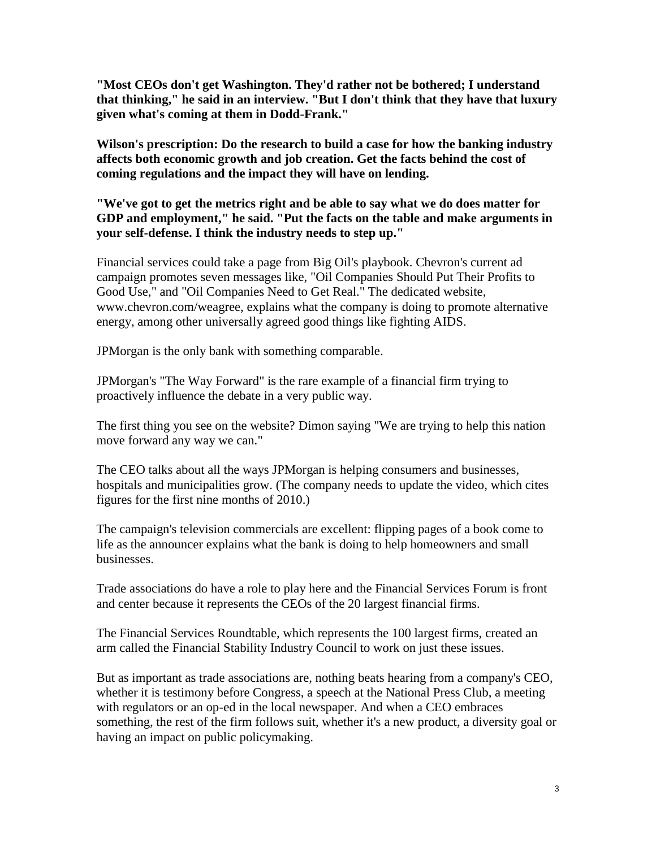**"Most CEOs don't get Washington. They'd rather not be bothered; I understand that thinking," he said in an interview. "But I don't think that they have that luxury given what's coming at them in Dodd-Frank."**

**Wilson's prescription: Do the research to build a case for how the banking industry affects both economic growth and job creation. Get the facts behind the cost of coming regulations and the impact they will have on lending.**

**"We've got to get the metrics right and be able to say what we do does matter for GDP and employment," he said. "Put the facts on the table and make arguments in your self-defense. I think the industry needs to step up."**

Financial services could take a page from Big Oil's playbook. Chevron's current ad campaign promotes seven messages like, "Oil Companies Should Put Their Profits to Good Use," and "Oil Companies Need to Get Real." The dedicated website, www.chevron.com/weagree, explains what the company is doing to promote alternative energy, among other universally agreed good things like fighting AIDS.

JPMorgan is the only bank with something comparable.

JPMorgan's "The Way Forward" is the rare example of a financial firm trying to proactively influence the debate in a very public way.

The first thing you see on the website? Dimon saying "We are trying to help this nation move forward any way we can."

The CEO talks about all the ways JPMorgan is helping consumers and businesses, hospitals and municipalities grow. (The company needs to update the video, which cites figures for the first nine months of 2010.)

The campaign's television commercials are excellent: flipping pages of a book come to life as the announcer explains what the bank is doing to help homeowners and small businesses.

Trade associations do have a role to play here and the Financial Services Forum is front and center because it represents the CEOs of the 20 largest financial firms.

The Financial Services Roundtable, which represents the 100 largest firms, created an arm called the Financial Stability Industry Council to work on just these issues.

But as important as trade associations are, nothing beats hearing from a company's CEO, whether it is testimony before Congress, a speech at the National Press Club, a meeting with regulators or an op-ed in the local newspaper. And when a CEO embraces something, the rest of the firm follows suit, whether it's a new product, a diversity goal or having an impact on public policymaking.